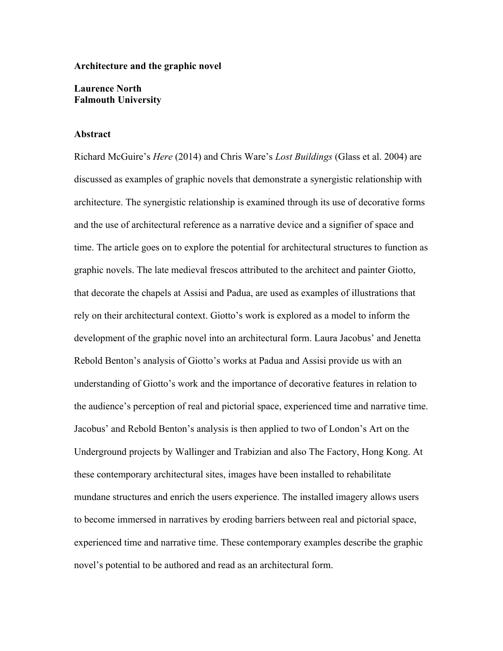### **Architecture and the graphic novel**

## **Laurence North Falmouth University**

#### **Abstract**

Richard McGuire's *Here* (2014) and Chris Ware's *Lost Buildings* (Glass et al. 2004) are discussed as examples of graphic novels that demonstrate a synergistic relationship with architecture. The synergistic relationship is examined through its use of decorative forms and the use of architectural reference as a narrative device and a signifier of space and time. The article goes on to explore the potential for architectural structures to function as graphic novels. The late medieval frescos attributed to the architect and painter Giotto, that decorate the chapels at Assisi and Padua, are used as examples of illustrations that rely on their architectural context. Giotto's work is explored as a model to inform the development of the graphic novel into an architectural form. Laura Jacobus' and Jenetta Rebold Benton's analysis of Giotto's works at Padua and Assisi provide us with an understanding of Giotto's work and the importance of decorative features in relation to the audience's perception of real and pictorial space, experienced time and narrative time. Jacobus' and Rebold Benton's analysis is then applied to two of London's Art on the Underground projects by Wallinger and Trabizian and also The Factory, Hong Kong. At these contemporary architectural sites, images have been installed to rehabilitate mundane structures and enrich the users experience. The installed imagery allows users to become immersed in narratives by eroding barriers between real and pictorial space, experienced time and narrative time. These contemporary examples describe the graphic novel's potential to be authored and read as an architectural form.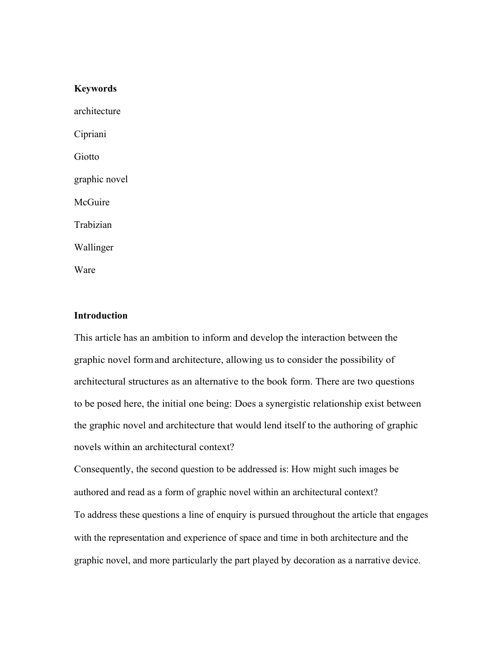## **Keywords**

architecture Cipriani Giotto graphic novel McGuire Trabizian Wallinger

Ware

# **Introduction**

This article has an ambition to inform and develop the interaction between the graphic novel formand architecture, allowing us to consider the possibility of architectural structures as an alternative to the book form. There are two questions to be posed here, the initial one being: Does a synergistic relationship exist between the graphic novel and architecture that would lend itself to the authoring of graphic novels within an architectural context?

Consequently, the second question to be addressed is: How might such images be authored and read as a form of graphic novel within an architectural context? To address these questions a line of enquiry is pursued throughout the article that engages with the representation and experience of space and time in both architecture and the graphic novel, and more particularly the part played by decoration as a narrative device.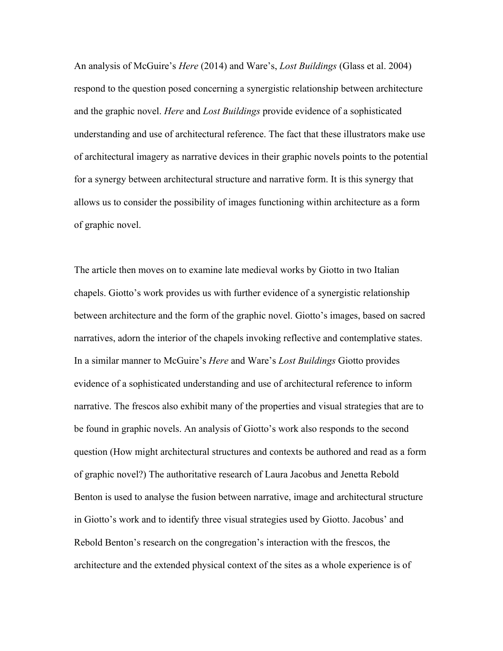An analysis of McGuire's *Here* (2014) and Ware's, *Lost Buildings* (Glass et al. 2004) respond to the question posed concerning a synergistic relationship between architecture and the graphic novel. *Here* and *Lost Buildings* provide evidence of a sophisticated understanding and use of architectural reference. The fact that these illustrators make use of architectural imagery as narrative devices in their graphic novels points to the potential for a synergy between architectural structure and narrative form. It is this synergy that allows us to consider the possibility of images functioning within architecture as a form of graphic novel.

The article then moves on to examine late medieval works by Giotto in two Italian chapels. Giotto's work provides us with further evidence of a synergistic relationship between architecture and the form of the graphic novel. Giotto's images, based on sacred narratives, adorn the interior of the chapels invoking reflective and contemplative states. In a similar manner to McGuire's *Here* and Ware's *Lost Buildings* Giotto provides evidence of a sophisticated understanding and use of architectural reference to inform narrative. The frescos also exhibit many of the properties and visual strategies that are to be found in graphic novels. An analysis of Giotto's work also responds to the second question (How might architectural structures and contexts be authored and read as a form of graphic novel?) The authoritative research of Laura Jacobus and Jenetta Rebold Benton is used to analyse the fusion between narrative, image and architectural structure in Giotto's work and to identify three visual strategies used by Giotto. Jacobus' and Rebold Benton's research on the congregation's interaction with the frescos, the architecture and the extended physical context of the sites as a whole experience is of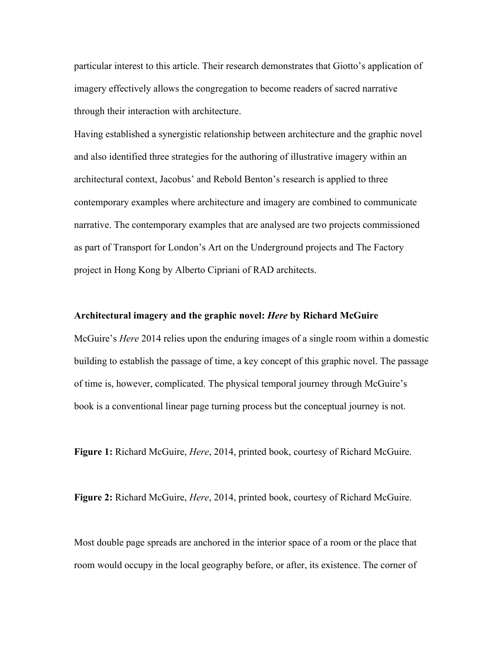particular interest to this article. Their research demonstrates that Giotto's application of imagery effectively allows the congregation to become readers of sacred narrative through their interaction with architecture.

Having established a synergistic relationship between architecture and the graphic novel and also identified three strategies for the authoring of illustrative imagery within an architectural context, Jacobus' and Rebold Benton's research is applied to three contemporary examples where architecture and imagery are combined to communicate narrative. The contemporary examples that are analysed are two projects commissioned as part of Transport for London's Art on the Underground projects and The Factory project in Hong Kong by Alberto Cipriani of RAD architects.

#### **Architectural imagery and the graphic novel:** *Here* **by Richard McGuire**

McGuire's *Here* 2014 relies upon the enduring images of a single room within a domestic building to establish the passage of time, a key concept of this graphic novel. The passage of time is, however, complicated. The physical temporal journey through McGuire's book is a conventional linear page turning process but the conceptual journey is not.

**Figure 1:** Richard McGuire, *Here*, 2014, printed book, courtesy of Richard McGuire.

**Figure 2:** Richard McGuire, *Here*, 2014, printed book, courtesy of Richard McGuire.

Most double page spreads are anchored in the interior space of a room or the place that room would occupy in the local geography before, or after, its existence. The corner of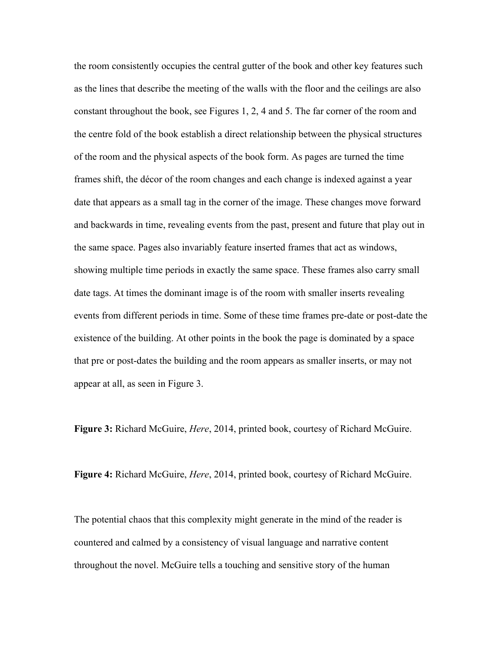the room consistently occupies the central gutter of the book and other key features such as the lines that describe the meeting of the walls with the floor and the ceilings are also constant throughout the book, see Figures 1, 2, 4 and 5. The far corner of the room and the centre fold of the book establish a direct relationship between the physical structures of the room and the physical aspects of the book form. As pages are turned the time frames shift, the décor of the room changes and each change is indexed against a year date that appears as a small tag in the corner of the image. These changes move forward and backwards in time, revealing events from the past, present and future that play out in the same space. Pages also invariably feature inserted frames that act as windows, showing multiple time periods in exactly the same space. These frames also carry small date tags. At times the dominant image is of the room with smaller inserts revealing events from different periods in time. Some of these time frames pre-date or post-date the existence of the building. At other points in the book the page is dominated by a space that pre or post-dates the building and the room appears as smaller inserts, or may not appear at all, as seen in Figure 3.

**Figure 3:** Richard McGuire, *Here*, 2014, printed book, courtesy of Richard McGuire.

**Figure 4:** Richard McGuire, *Here*, 2014, printed book, courtesy of Richard McGuire.

The potential chaos that this complexity might generate in the mind of the reader is countered and calmed by a consistency of visual language and narrative content throughout the novel. McGuire tells a touching and sensitive story of the human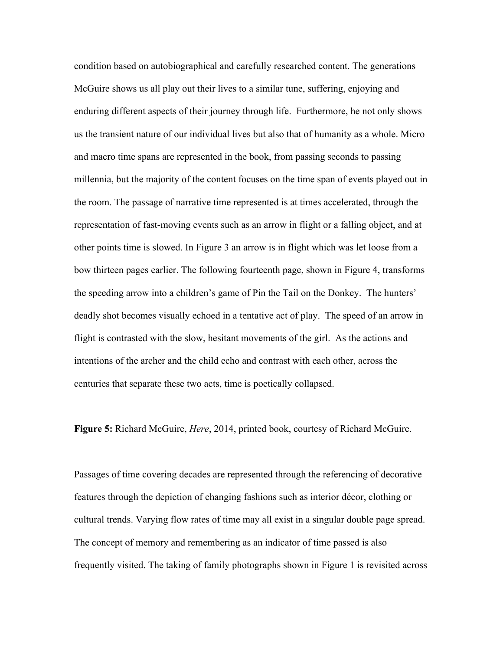condition based on autobiographical and carefully researched content. The generations McGuire shows us all play out their lives to a similar tune, suffering, enjoying and enduring different aspects of their journey through life. Furthermore, he not only shows us the transient nature of our individual lives but also that of humanity as a whole. Micro and macro time spans are represented in the book, from passing seconds to passing millennia, but the majority of the content focuses on the time span of events played out in the room. The passage of narrative time represented is at times accelerated, through the representation of fast-moving events such as an arrow in flight or a falling object, and at other points time is slowed. In Figure 3 an arrow is in flight which was let loose from a bow thirteen pages earlier. The following fourteenth page, shown in Figure 4, transforms the speeding arrow into a children's game of Pin the Tail on the Donkey. The hunters' deadly shot becomes visually echoed in a tentative act of play. The speed of an arrow in flight is contrasted with the slow, hesitant movements of the girl. As the actions and intentions of the archer and the child echo and contrast with each other, across the centuries that separate these two acts, time is poetically collapsed.

**Figure 5:** Richard McGuire, *Here*, 2014, printed book, courtesy of Richard McGuire.

Passages of time covering decades are represented through the referencing of decorative features through the depiction of changing fashions such as interior décor, clothing or cultural trends. Varying flow rates of time may all exist in a singular double page spread. The concept of memory and remembering as an indicator of time passed is also frequently visited. The taking of family photographs shown in Figure 1 is revisited across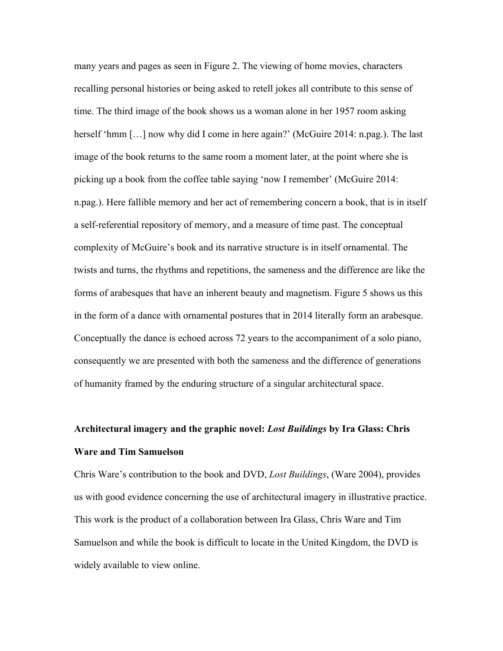many years and pages as seen in Figure 2. The viewing of home movies, characters recalling personal histories or being asked to retell jokes all contribute to this sense of time. The third image of the book shows us a woman alone in her 1957 room asking herself 'hmm [...] now why did I come in here again?' (McGuire 2014: n.pag.). The last image of the book returns to the same room a moment later, at the point where she is picking up a book from the coffee table saying 'now I remember' (McGuire 2014: n.pag.). Here fallible memory and her act of remembering concern a book, that is in itself a self-referential repository of memory, and a measure of time past. The conceptual complexity of McGuire's book and its narrative structure is in itself ornamental. The twists and turns, the rhythms and repetitions, the sameness and the difference are like the forms of arabesques that have an inherent beauty and magnetism. Figure 5 shows us this in the form of a dance with ornamental postures that in 2014 literally form an arabesque. Conceptually the dance is echoed across 72 years to the accompaniment of a solo piano, consequently we are presented with both the sameness and the difference of generations of humanity framed by the enduring structure of a singular architectural space.

# **Architectural imagery and the graphic novel:** *Lost Buildings* **by Ira Glass: Chris Ware and Tim Samuelson**

Chris Ware's contribution to the book and DVD, *Lost Buildings*, (Ware 2004), provides us with good evidence concerning the use of architectural imagery in illustrative practice. This work is the product of a collaboration between Ira Glass, Chris Ware and Tim Samuelson and while the book is difficult to locate in the United Kingdom, the DVD is widely available to view online.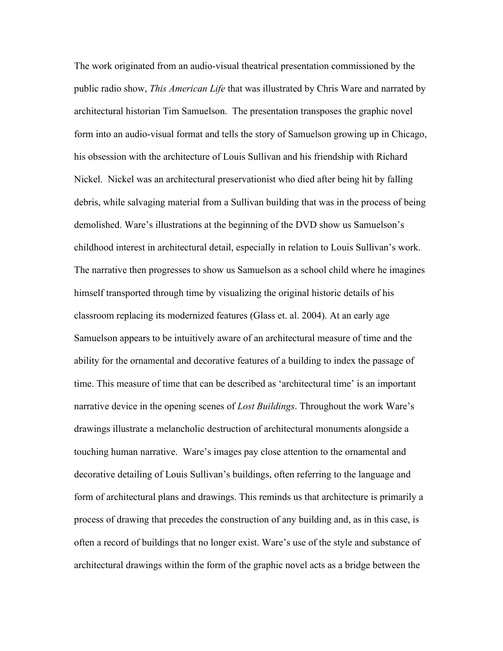The work originated from an audio-visual theatrical presentation commissioned by the public radio show, *This American Life* that was illustrated by Chris Ware and narrated by architectural historian Tim Samuelson. The presentation transposes the graphic novel form into an audio-visual format and tells the story of Samuelson growing up in Chicago, his obsession with the architecture of Louis Sullivan and his friendship with Richard Nickel. Nickel was an architectural preservationist who died after being hit by falling debris, while salvaging material from a Sullivan building that was in the process of being demolished. Ware's illustrations at the beginning of the DVD show us Samuelson's childhood interest in architectural detail, especially in relation to Louis Sullivan's work. The narrative then progresses to show us Samuelson as a school child where he imagines himself transported through time by visualizing the original historic details of his classroom replacing its modernized features (Glass et. al. 2004). At an early age Samuelson appears to be intuitively aware of an architectural measure of time and the ability for the ornamental and decorative features of a building to index the passage of time. This measure of time that can be described as 'architectural time' is an important narrative device in the opening scenes of *Lost Buildings*. Throughout the work Ware's drawings illustrate a melancholic destruction of architectural monuments alongside a touching human narrative. Ware's images pay close attention to the ornamental and decorative detailing of Louis Sullivan's buildings, often referring to the language and form of architectural plans and drawings. This reminds us that architecture is primarily a process of drawing that precedes the construction of any building and, as in this case, is often a record of buildings that no longer exist. Ware's use of the style and substance of architectural drawings within the form of the graphic novel acts as a bridge between the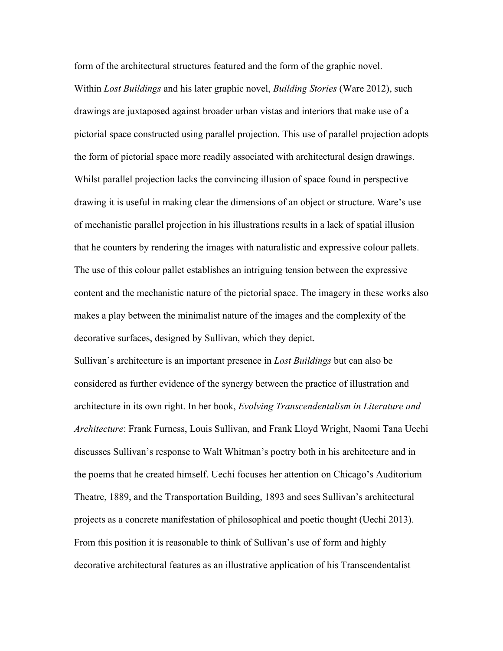form of the architectural structures featured and the form of the graphic novel. Within *Lost Buildings* and his later graphic novel, *Building Stories* (Ware 2012), such drawings are juxtaposed against broader urban vistas and interiors that make use of a pictorial space constructed using parallel projection. This use of parallel projection adopts the form of pictorial space more readily associated with architectural design drawings. Whilst parallel projection lacks the convincing illusion of space found in perspective drawing it is useful in making clear the dimensions of an object or structure. Ware's use of mechanistic parallel projection in his illustrations results in a lack of spatial illusion that he counters by rendering the images with naturalistic and expressive colour pallets. The use of this colour pallet establishes an intriguing tension between the expressive content and the mechanistic nature of the pictorial space. The imagery in these works also makes a play between the minimalist nature of the images and the complexity of the decorative surfaces, designed by Sullivan, which they depict.

Sullivan's architecture is an important presence in *Lost Buildings* but can also be considered as further evidence of the synergy between the practice of illustration and architecture in its own right. In her book, *Evolving Transcendentalism in Literature and Architecture*: Frank Furness, Louis Sullivan, and Frank Lloyd Wright, Naomi Tana Uechi discusses Sullivan's response to Walt Whitman's poetry both in his architecture and in the poems that he created himself. Uechi focuses her attention on Chicago's Auditorium Theatre, 1889, and the Transportation Building, 1893 and sees Sullivan's architectural projects as a concrete manifestation of philosophical and poetic thought (Uechi 2013). From this position it is reasonable to think of Sullivan's use of form and highly decorative architectural features as an illustrative application of his Transcendentalist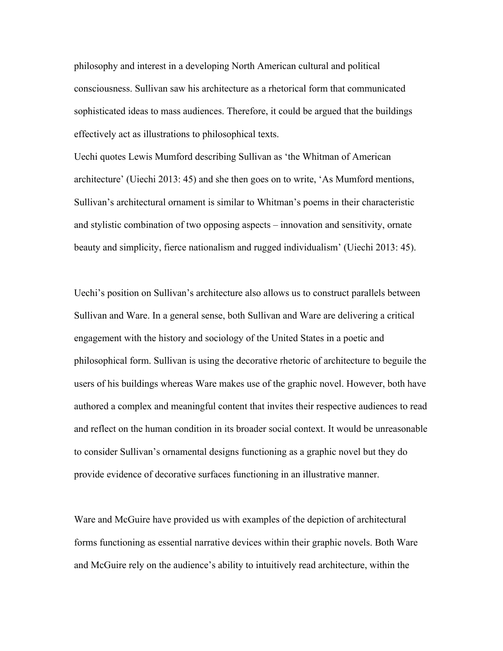philosophy and interest in a developing North American cultural and political consciousness. Sullivan saw his architecture as a rhetorical form that communicated sophisticated ideas to mass audiences. Therefore, it could be argued that the buildings effectively act as illustrations to philosophical texts.

Uechi quotes Lewis Mumford describing Sullivan as 'the Whitman of American architecture' (Uiechi 2013: 45) and she then goes on to write, 'As Mumford mentions, Sullivan's architectural ornament is similar to Whitman's poems in their characteristic and stylistic combination of two opposing aspects – innovation and sensitivity, ornate beauty and simplicity, fierce nationalism and rugged individualism' (Uiechi 2013: 45).

Uechi's position on Sullivan's architecture also allows us to construct parallels between Sullivan and Ware. In a general sense, both Sullivan and Ware are delivering a critical engagement with the history and sociology of the United States in a poetic and philosophical form. Sullivan is using the decorative rhetoric of architecture to beguile the users of his buildings whereas Ware makes use of the graphic novel. However, both have authored a complex and meaningful content that invites their respective audiences to read and reflect on the human condition in its broader social context. It would be unreasonable to consider Sullivan's ornamental designs functioning as a graphic novel but they do provide evidence of decorative surfaces functioning in an illustrative manner.

Ware and McGuire have provided us with examples of the depiction of architectural forms functioning as essential narrative devices within their graphic novels. Both Ware and McGuire rely on the audience's ability to intuitively read architecture, within the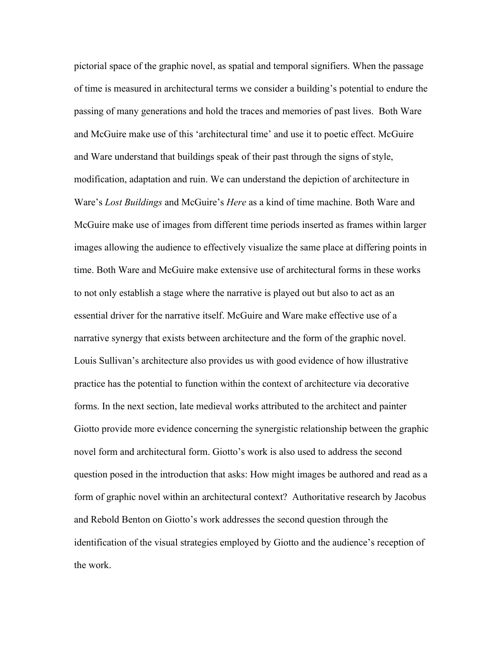pictorial space of the graphic novel, as spatial and temporal signifiers. When the passage of time is measured in architectural terms we consider a building's potential to endure the passing of many generations and hold the traces and memories of past lives. Both Ware and McGuire make use of this 'architectural time' and use it to poetic effect. McGuire and Ware understand that buildings speak of their past through the signs of style, modification, adaptation and ruin. We can understand the depiction of architecture in Ware's *Lost Buildings* and McGuire's *Here* as a kind of time machine. Both Ware and McGuire make use of images from different time periods inserted as frames within larger images allowing the audience to effectively visualize the same place at differing points in time. Both Ware and McGuire make extensive use of architectural forms in these works to not only establish a stage where the narrative is played out but also to act as an essential driver for the narrative itself. McGuire and Ware make effective use of a narrative synergy that exists between architecture and the form of the graphic novel. Louis Sullivan's architecture also provides us with good evidence of how illustrative practice has the potential to function within the context of architecture via decorative forms. In the next section, late medieval works attributed to the architect and painter Giotto provide more evidence concerning the synergistic relationship between the graphic novel form and architectural form. Giotto's work is also used to address the second question posed in the introduction that asks: How might images be authored and read as a form of graphic novel within an architectural context? Authoritative research by Jacobus and Rebold Benton on Giotto's work addresses the second question through the identification of the visual strategies employed by Giotto and the audience's reception of the work.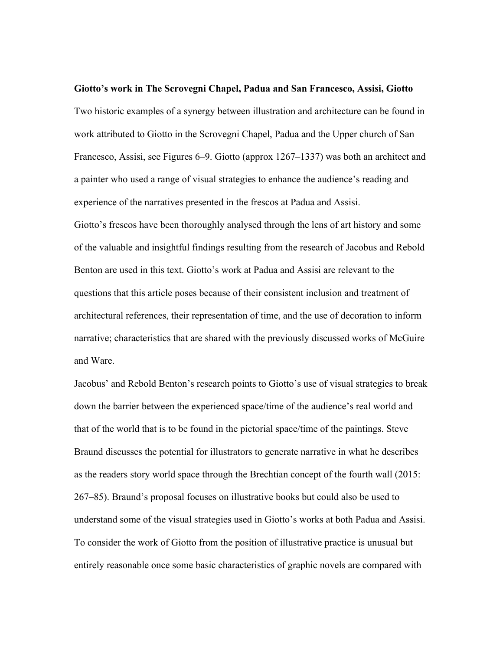**Giotto's work in The Scrovegni Chapel, Padua and San Francesco, Assisi, Giotto** Two historic examples of a synergy between illustration and architecture can be found in work attributed to Giotto in the Scrovegni Chapel, Padua and the Upper church of San Francesco, Assisi, see Figures 6–9. Giotto (approx 1267–1337) was both an architect and a painter who used a range of visual strategies to enhance the audience's reading and experience of the narratives presented in the frescos at Padua and Assisi. Giotto's frescos have been thoroughly analysed through the lens of art history and some of the valuable and insightful findings resulting from the research of Jacobus and Rebold Benton are used in this text. Giotto's work at Padua and Assisi are relevant to the questions that this article poses because of their consistent inclusion and treatment of architectural references, their representation of time, and the use of decoration to inform narrative; characteristics that are shared with the previously discussed works of McGuire and Ware.

Jacobus' and Rebold Benton's research points to Giotto's use of visual strategies to break down the barrier between the experienced space/time of the audience's real world and that of the world that is to be found in the pictorial space/time of the paintings. Steve Braund discusses the potential for illustrators to generate narrative in what he describes as the readers story world space through the Brechtian concept of the fourth wall (2015: 267–85). Braund's proposal focuses on illustrative books but could also be used to understand some of the visual strategies used in Giotto's works at both Padua and Assisi. To consider the work of Giotto from the position of illustrative practice is unusual but entirely reasonable once some basic characteristics of graphic novels are compared with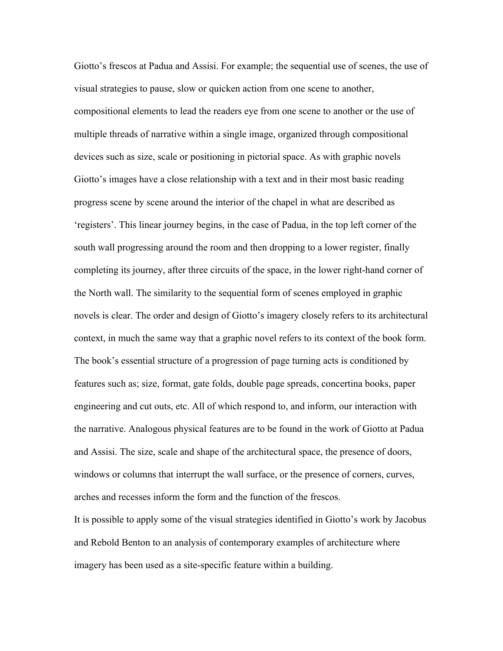Giotto's frescos at Padua and Assisi. For example; the sequential use of scenes, the use of visual strategies to pause, slow or quicken action from one scene to another, compositional elements to lead the readers eye from one scene to another or the use of multiple threads of narrative within a single image, organized through compositional devices such as size, scale or positioning in pictorial space. As with graphic novels Giotto's images have a close relationship with a text and in their most basic reading progress scene by scene around the interior of the chapel in what are described as 'registers'. This linear journey begins, in the case of Padua, in the top left corner of the south wall progressing around the room and then dropping to a lower register, finally completing its journey, after three circuits of the space, in the lower right-hand corner of the North wall. The similarity to the sequential form of scenes employed in graphic novels is clear. The order and design of Giotto's imagery closely refers to its architectural context, in much the same way that a graphic novel refers to its context of the book form. The book's essential structure of a progression of page turning acts is conditioned by features such as; size, format, gate folds, double page spreads, concertina books, paper engineering and cut outs, etc. All of which respond to, and inform, our interaction with the narrative. Analogous physical features are to be found in the work of Giotto at Padua and Assisi. The size, scale and shape of the architectural space, the presence of doors, windows or columns that interrupt the wall surface, or the presence of corners, curves, arches and recesses inform the form and the function of the frescos.

It is possible to apply some of the visual strategies identified in Giotto's work by Jacobus and Rebold Benton to an analysis of contemporary examples of architecture where imagery has been used as a site-specific feature within a building.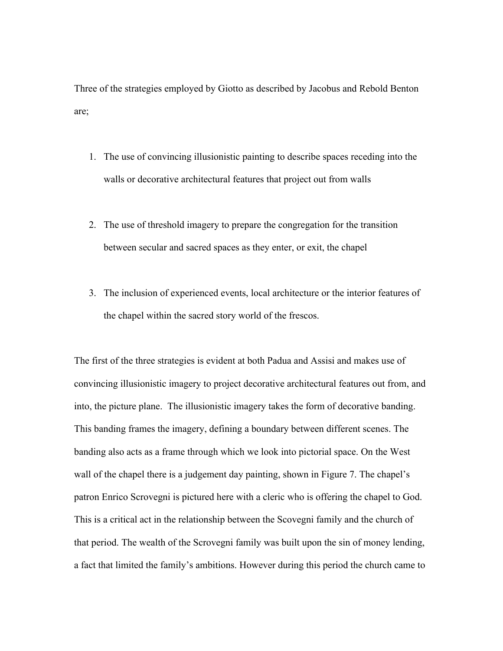Three of the strategies employed by Giotto as described by Jacobus and Rebold Benton are;

- 1. The use of convincing illusionistic painting to describe spaces receding into the walls or decorative architectural features that project out from walls
- 2. The use of threshold imagery to prepare the congregation for the transition between secular and sacred spaces as they enter, or exit, the chapel
- 3. The inclusion of experienced events, local architecture or the interior features of the chapel within the sacred story world of the frescos.

The first of the three strategies is evident at both Padua and Assisi and makes use of convincing illusionistic imagery to project decorative architectural features out from, and into, the picture plane. The illusionistic imagery takes the form of decorative banding. This banding frames the imagery, defining a boundary between different scenes. The banding also acts as a frame through which we look into pictorial space. On the West wall of the chapel there is a judgement day painting, shown in Figure 7. The chapel's patron Enrico Scrovegni is pictured here with a cleric who is offering the chapel to God. This is a critical act in the relationship between the Scovegni family and the church of that period. The wealth of the Scrovegni family was built upon the sin of money lending, a fact that limited the family's ambitions. However during this period the church came to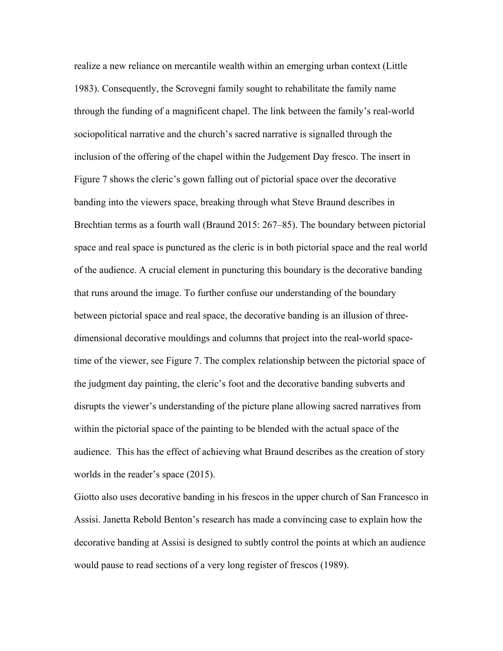realize a new reliance on mercantile wealth within an emerging urban context (Little 1983). Consequently, the Scrovegni family sought to rehabilitate the family name through the funding of a magnificent chapel. The link between the family's real-world sociopolitical narrative and the church's sacred narrative is signalled through the inclusion of the offering of the chapel within the Judgement Day fresco. The insert in Figure 7 shows the cleric's gown falling out of pictorial space over the decorative banding into the viewers space, breaking through what Steve Braund describes in Brechtian terms as a fourth wall (Braund 2015: 267–85). The boundary between pictorial space and real space is punctured as the cleric is in both pictorial space and the real world of the audience. A crucial element in puncturing this boundary is the decorative banding that runs around the image. To further confuse our understanding of the boundary between pictorial space and real space, the decorative banding is an illusion of threedimensional decorative mouldings and columns that project into the real-world spacetime of the viewer, see Figure 7. The complex relationship between the pictorial space of the judgment day painting, the cleric's foot and the decorative banding subverts and disrupts the viewer's understanding of the picture plane allowing sacred narratives from within the pictorial space of the painting to be blended with the actual space of the audience. This has the effect of achieving what Braund describes as the creation of story worlds in the reader's space (2015).

Giotto also uses decorative banding in his frescos in the upper church of San Francesco in Assisi. Janetta Rebold Benton's research has made a convincing case to explain how the decorative banding at Assisi is designed to subtly control the points at which an audience would pause to read sections of a very long register of frescos (1989).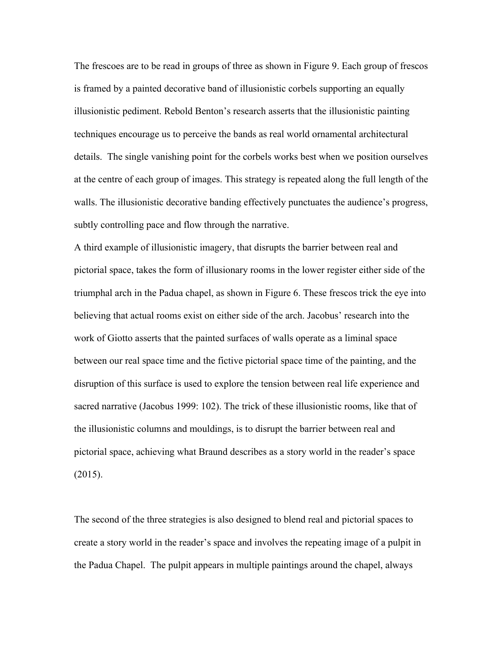The frescoes are to be read in groups of three as shown in Figure 9. Each group of frescos is framed by a painted decorative band of illusionistic corbels supporting an equally illusionistic pediment. Rebold Benton's research asserts that the illusionistic painting techniques encourage us to perceive the bands as real world ornamental architectural details. The single vanishing point for the corbels works best when we position ourselves at the centre of each group of images. This strategy is repeated along the full length of the walls. The illusionistic decorative banding effectively punctuates the audience's progress, subtly controlling pace and flow through the narrative.

A third example of illusionistic imagery, that disrupts the barrier between real and pictorial space, takes the form of illusionary rooms in the lower register either side of the triumphal arch in the Padua chapel, as shown in Figure 6. These frescos trick the eye into believing that actual rooms exist on either side of the arch. Jacobus' research into the work of Giotto asserts that the painted surfaces of walls operate as a liminal space between our real space time and the fictive pictorial space time of the painting, and the disruption of this surface is used to explore the tension between real life experience and sacred narrative (Jacobus 1999: 102). The trick of these illusionistic rooms, like that of the illusionistic columns and mouldings, is to disrupt the barrier between real and pictorial space, achieving what Braund describes as a story world in the reader's space (2015).

The second of the three strategies is also designed to blend real and pictorial spaces to create a story world in the reader's space and involves the repeating image of a pulpit in the Padua Chapel. The pulpit appears in multiple paintings around the chapel, always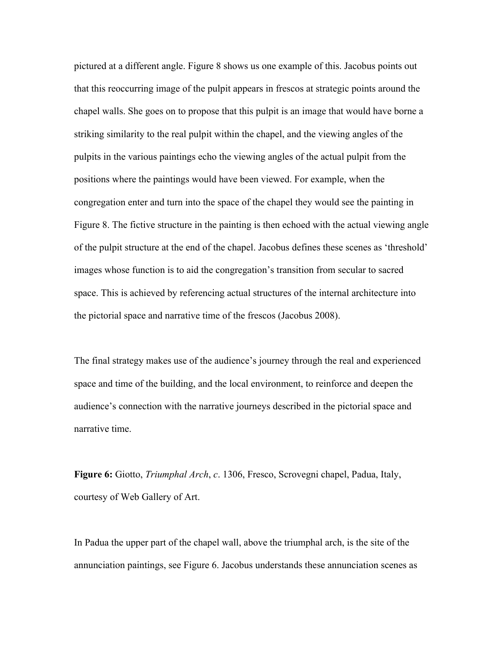pictured at a different angle. Figure 8 shows us one example of this. Jacobus points out that this reoccurring image of the pulpit appears in frescos at strategic points around the chapel walls. She goes on to propose that this pulpit is an image that would have borne a striking similarity to the real pulpit within the chapel, and the viewing angles of the pulpits in the various paintings echo the viewing angles of the actual pulpit from the positions where the paintings would have been viewed. For example, when the congregation enter and turn into the space of the chapel they would see the painting in Figure 8. The fictive structure in the painting is then echoed with the actual viewing angle of the pulpit structure at the end of the chapel. Jacobus defines these scenes as 'threshold' images whose function is to aid the congregation's transition from secular to sacred space. This is achieved by referencing actual structures of the internal architecture into the pictorial space and narrative time of the frescos (Jacobus 2008).

The final strategy makes use of the audience's journey through the real and experienced space and time of the building, and the local environment, to reinforce and deepen the audience's connection with the narrative journeys described in the pictorial space and narrative time.

**Figure 6:** Giotto, *Triumphal Arch*, *c*. 1306, Fresco, Scrovegni chapel, Padua, Italy, courtesy of Web Gallery of Art.

In Padua the upper part of the chapel wall, above the triumphal arch, is the site of the annunciation paintings, see Figure 6. Jacobus understands these annunciation scenes as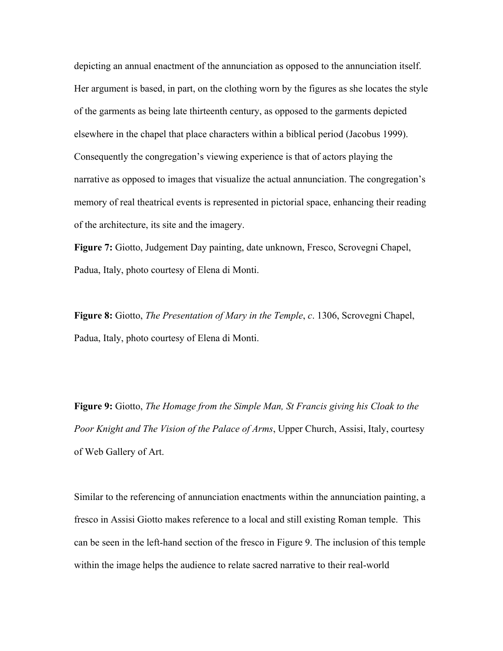depicting an annual enactment of the annunciation as opposed to the annunciation itself. Her argument is based, in part, on the clothing worn by the figures as she locates the style of the garments as being late thirteenth century, as opposed to the garments depicted elsewhere in the chapel that place characters within a biblical period (Jacobus 1999). Consequently the congregation's viewing experience is that of actors playing the narrative as opposed to images that visualize the actual annunciation. The congregation's memory of real theatrical events is represented in pictorial space, enhancing their reading of the architecture, its site and the imagery.

**Figure 7:** Giotto, Judgement Day painting, date unknown, Fresco, Scrovegni Chapel, Padua, Italy, photo courtesy of Elena di Monti.

**Figure 8:** Giotto, *The Presentation of Mary in the Temple*, *c*. 1306, Scrovegni Chapel, Padua, Italy, photo courtesy of Elena di Monti.

**Figure 9:** Giotto, *The Homage from the Simple Man, St Francis giving his Cloak to the Poor Knight and The Vision of the Palace of Arms*, Upper Church, Assisi, Italy, courtesy of Web Gallery of Art.

Similar to the referencing of annunciation enactments within the annunciation painting, a fresco in Assisi Giotto makes reference to a local and still existing Roman temple. This can be seen in the left-hand section of the fresco in Figure 9. The inclusion of this temple within the image helps the audience to relate sacred narrative to their real-world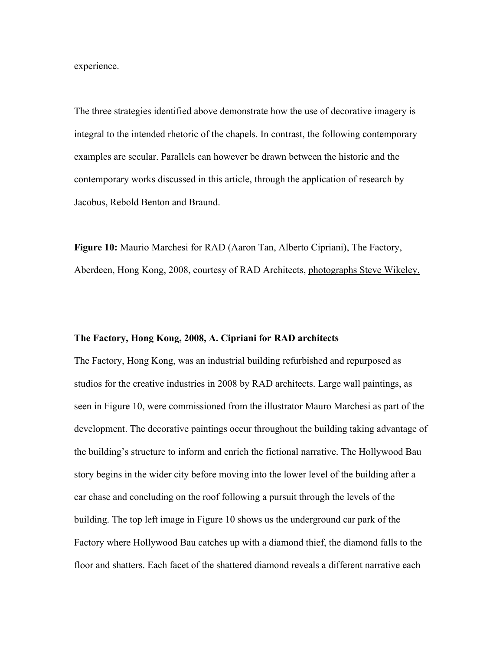experience.

The three strategies identified above demonstrate how the use of decorative imagery is integral to the intended rhetoric of the chapels. In contrast, the following contemporary examples are secular. Parallels can however be drawn between the historic and the contemporary works discussed in this article, through the application of research by Jacobus, Rebold Benton and Braund.

Figure 10: Maurio Marchesi for RAD (Aaron Tan, Alberto Cipriani), The Factory, Aberdeen, Hong Kong, 2008, courtesy of RAD Architects, photographs Steve Wikeley.

#### **The Factory, Hong Kong, 2008, A. Cipriani for RAD architects**

The Factory, Hong Kong, was an industrial building refurbished and repurposed as studios for the creative industries in 2008 by RAD architects. Large wall paintings, as seen in Figure 10, were commissioned from the illustrator Mauro Marchesi as part of the development. The decorative paintings occur throughout the building taking advantage of the building's structure to inform and enrich the fictional narrative. The Hollywood Bau story begins in the wider city before moving into the lower level of the building after a car chase and concluding on the roof following a pursuit through the levels of the building. The top left image in Figure 10 shows us the underground car park of the Factory where Hollywood Bau catches up with a diamond thief, the diamond falls to the floor and shatters. Each facet of the shattered diamond reveals a different narrative each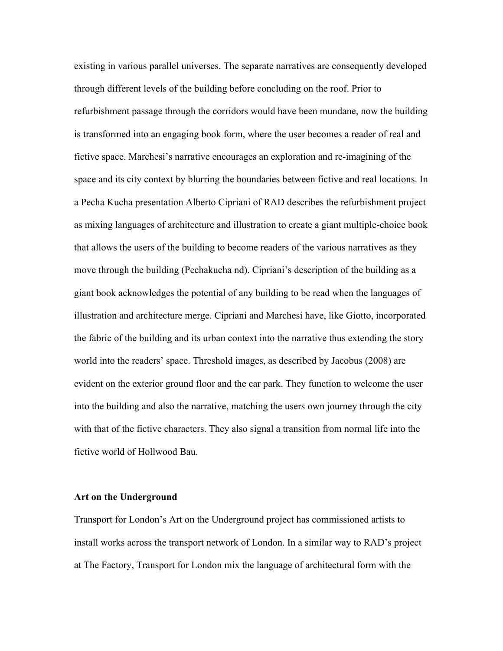existing in various parallel universes. The separate narratives are consequently developed through different levels of the building before concluding on the roof. Prior to refurbishment passage through the corridors would have been mundane, now the building is transformed into an engaging book form, where the user becomes a reader of real and fictive space. Marchesi's narrative encourages an exploration and re-imagining of the space and its city context by blurring the boundaries between fictive and real locations. In a Pecha Kucha presentation Alberto Cipriani of RAD describes the refurbishment project as mixing languages of architecture and illustration to create a giant multiple-choice book that allows the users of the building to become readers of the various narratives as they move through the building (Pechakucha nd). Cipriani's description of the building as a giant book acknowledges the potential of any building to be read when the languages of illustration and architecture merge. Cipriani and Marchesi have, like Giotto, incorporated the fabric of the building and its urban context into the narrative thus extending the story world into the readers' space. Threshold images, as described by Jacobus (2008) are evident on the exterior ground floor and the car park. They function to welcome the user into the building and also the narrative, matching the users own journey through the city with that of the fictive characters. They also signal a transition from normal life into the fictive world of Hollwood Bau.

# **Art on the Underground**

Transport for London's Art on the Underground project has commissioned artists to install works across the transport network of London. In a similar way to RAD's project at The Factory, Transport for London mix the language of architectural form with the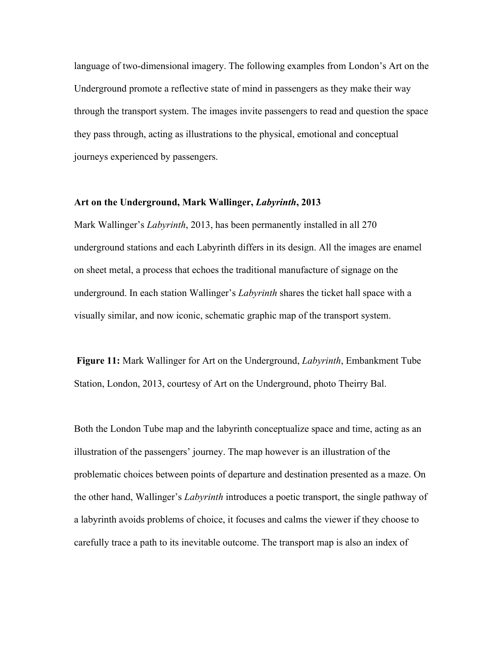language of two-dimensional imagery. The following examples from London's Art on the Underground promote a reflective state of mind in passengers as they make their way through the transport system. The images invite passengers to read and question the space they pass through, acting as illustrations to the physical, emotional and conceptual journeys experienced by passengers.

#### **Art on the Underground, Mark Wallinger,** *Labyrinth***, 2013**

Mark Wallinger's *Labyrinth*, 2013, has been permanently installed in all 270 underground stations and each Labyrinth differs in its design. All the images are enamel on sheet metal, a process that echoes the traditional manufacture of signage on the underground. In each station Wallinger's *Labyrinth* shares the ticket hall space with a visually similar, and now iconic, schematic graphic map of the transport system.

**Figure 11:** Mark Wallinger for Art on the Underground, *Labyrinth*, Embankment Tube Station, London, 2013, courtesy of Art on the Underground, photo Theirry Bal.

Both the London Tube map and the labyrinth conceptualize space and time, acting as an illustration of the passengers' journey. The map however is an illustration of the problematic choices between points of departure and destination presented as a maze. On the other hand, Wallinger's *Labyrinth* introduces a poetic transport, the single pathway of a labyrinth avoids problems of choice, it focuses and calms the viewer if they choose to carefully trace a path to its inevitable outcome. The transport map is also an index of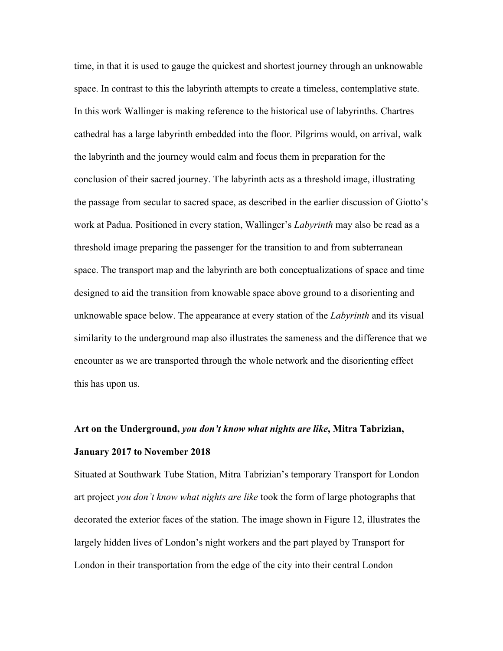time, in that it is used to gauge the quickest and shortest journey through an unknowable space. In contrast to this the labyrinth attempts to create a timeless, contemplative state. In this work Wallinger is making reference to the historical use of labyrinths. Chartres cathedral has a large labyrinth embedded into the floor. Pilgrims would, on arrival, walk the labyrinth and the journey would calm and focus them in preparation for the conclusion of their sacred journey. The labyrinth acts as a threshold image, illustrating the passage from secular to sacred space, as described in the earlier discussion of Giotto's work at Padua. Positioned in every station, Wallinger's *Labyrinth* may also be read as a threshold image preparing the passenger for the transition to and from subterranean space. The transport map and the labyrinth are both conceptualizations of space and time designed to aid the transition from knowable space above ground to a disorienting and unknowable space below. The appearance at every station of the *Labyrinth* and its visual similarity to the underground map also illustrates the sameness and the difference that we encounter as we are transported through the whole network and the disorienting effect this has upon us.

# **Art on the Underground,** *you don't know what nights are like***, Mitra Tabrizian, January 2017 to November 2018**

Situated at Southwark Tube Station, Mitra Tabrizian's temporary Transport for London art project *you don't know what nights are like* took the form of large photographs that decorated the exterior faces of the station. The image shown in Figure 12, illustrates the largely hidden lives of London's night workers and the part played by Transport for London in their transportation from the edge of the city into their central London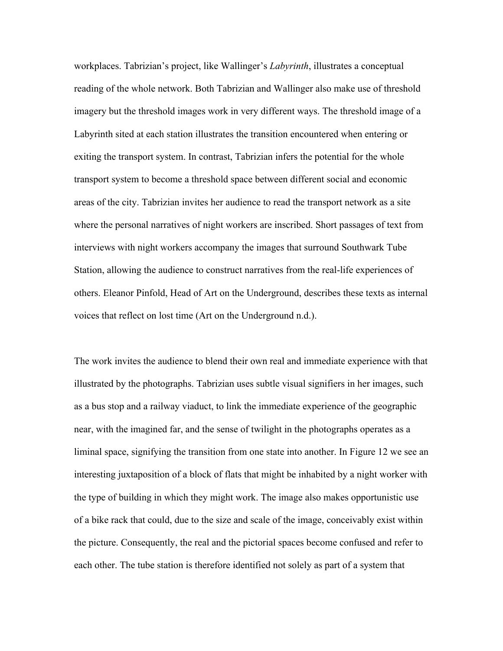workplaces. Tabrizian's project, like Wallinger's *Labyrinth*, illustrates a conceptual reading of the whole network. Both Tabrizian and Wallinger also make use of threshold imagery but the threshold images work in very different ways. The threshold image of a Labyrinth sited at each station illustrates the transition encountered when entering or exiting the transport system. In contrast, Tabrizian infers the potential for the whole transport system to become a threshold space between different social and economic areas of the city. Tabrizian invites her audience to read the transport network as a site where the personal narratives of night workers are inscribed. Short passages of text from interviews with night workers accompany the images that surround Southwark Tube Station, allowing the audience to construct narratives from the real-life experiences of others. Eleanor Pinfold, Head of Art on the Underground, describes these texts as internal voices that reflect on lost time (Art on the Underground n.d.).

The work invites the audience to blend their own real and immediate experience with that illustrated by the photographs. Tabrizian uses subtle visual signifiers in her images, such as a bus stop and a railway viaduct, to link the immediate experience of the geographic near, with the imagined far, and the sense of twilight in the photographs operates as a liminal space, signifying the transition from one state into another. In Figure 12 we see an interesting juxtaposition of a block of flats that might be inhabited by a night worker with the type of building in which they might work. The image also makes opportunistic use of a bike rack that could, due to the size and scale of the image, conceivably exist within the picture. Consequently, the real and the pictorial spaces become confused and refer to each other. The tube station is therefore identified not solely as part of a system that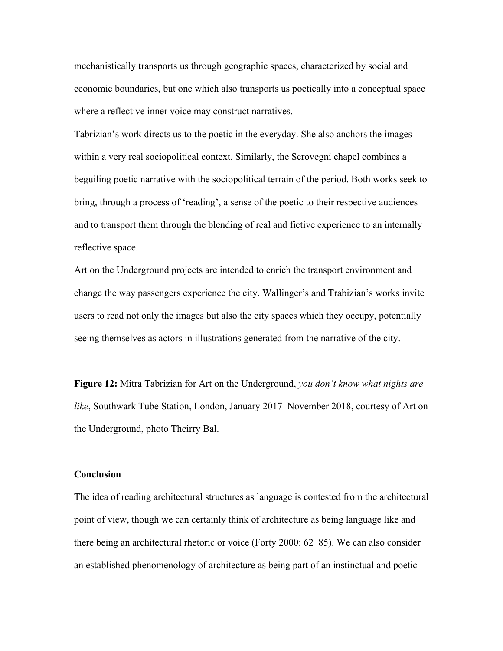mechanistically transports us through geographic spaces, characterized by social and economic boundaries, but one which also transports us poetically into a conceptual space where a reflective inner voice may construct narratives.

Tabrizian's work directs us to the poetic in the everyday. She also anchors the images within a very real sociopolitical context. Similarly, the Scrovegni chapel combines a beguiling poetic narrative with the sociopolitical terrain of the period. Both works seek to bring, through a process of 'reading', a sense of the poetic to their respective audiences and to transport them through the blending of real and fictive experience to an internally reflective space.

Art on the Underground projects are intended to enrich the transport environment and change the way passengers experience the city. Wallinger's and Trabizian's works invite users to read not only the images but also the city spaces which they occupy, potentially seeing themselves as actors in illustrations generated from the narrative of the city.

**Figure 12:** Mitra Tabrizian for Art on the Underground, *you don't know what nights are like*, Southwark Tube Station, London, January 2017–November 2018, courtesy of Art on the Underground, photo Theirry Bal.

# **Conclusion**

The idea of reading architectural structures as language is contested from the architectural point of view, though we can certainly think of architecture as being language like and there being an architectural rhetoric or voice (Forty 2000: 62–85). We can also consider an established phenomenology of architecture as being part of an instinctual and poetic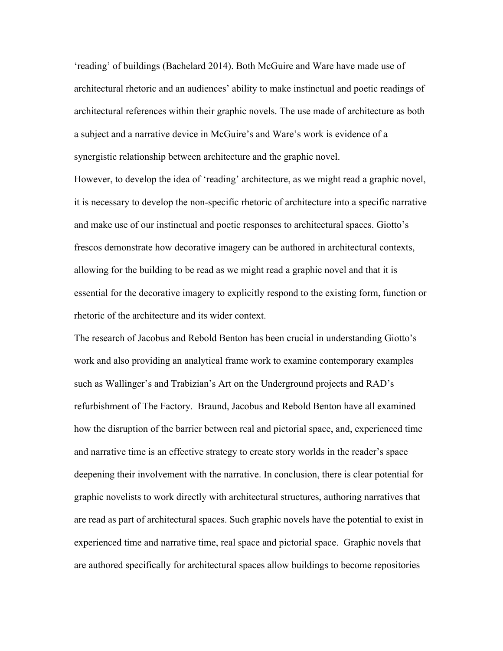'reading' of buildings (Bachelard 2014). Both McGuire and Ware have made use of architectural rhetoric and an audiences' ability to make instinctual and poetic readings of architectural references within their graphic novels. The use made of architecture as both a subject and a narrative device in McGuire's and Ware's work is evidence of a synergistic relationship between architecture and the graphic novel.

However, to develop the idea of 'reading' architecture, as we might read a graphic novel, it is necessary to develop the non-specific rhetoric of architecture into a specific narrative and make use of our instinctual and poetic responses to architectural spaces. Giotto's frescos demonstrate how decorative imagery can be authored in architectural contexts, allowing for the building to be read as we might read a graphic novel and that it is essential for the decorative imagery to explicitly respond to the existing form, function or rhetoric of the architecture and its wider context.

The research of Jacobus and Rebold Benton has been crucial in understanding Giotto's work and also providing an analytical frame work to examine contemporary examples such as Wallinger's and Trabizian's Art on the Underground projects and RAD's refurbishment of The Factory. Braund, Jacobus and Rebold Benton have all examined how the disruption of the barrier between real and pictorial space, and, experienced time and narrative time is an effective strategy to create story worlds in the reader's space deepening their involvement with the narrative. In conclusion, there is clear potential for graphic novelists to work directly with architectural structures, authoring narratives that are read as part of architectural spaces. Such graphic novels have the potential to exist in experienced time and narrative time, real space and pictorial space. Graphic novels that are authored specifically for architectural spaces allow buildings to become repositories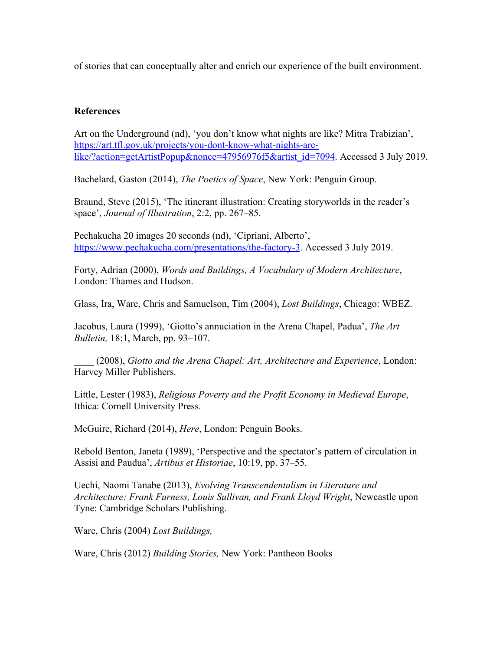of stories that can conceptually alter and enrich our experience of the built environment.

# **References**

Art on the Underground (nd), 'you don't know what nights are like? Mitra Trabizian', https://art.tfl.gov.uk/projects/you-dont-know-what-nights-arelike/?action=getArtistPopup&nonce=47956976f5&artist\_id=7094. Accessed 3 July 2019.

Bachelard, Gaston (2014), *The Poetics of Space*, New York: Penguin Group.

Braund, Steve (2015), 'The itinerant illustration: Creating storyworlds in the reader's space', *Journal of Illustration*, 2:2, pp. 267–85.

Pechakucha 20 images 20 seconds (nd), 'Cipriani, Alberto', https://www.pechakucha.com/presentations/the-factory-3. Accessed 3 July 2019.

Forty, Adrian (2000), *Words and Buildings, A Vocabulary of Modern Architecture*, London: Thames and Hudson.

Glass, Ira, Ware, Chris and Samuelson, Tim (2004), *Lost Buildings*, Chicago: WBEZ.

Jacobus, Laura (1999), 'Giotto's annuciation in the Arena Chapel, Padua', *The Art Bulletin,* 18:1, March, pp. 93–107.

\_\_\_\_ (2008), *Giotto and the Arena Chapel: Art, Architecture and Experience*, London: Harvey Miller Publishers.

Little, Lester (1983), *Religious Poverty and the Profit Economy in Medieval Europe*, Ithica: Cornell University Press.

McGuire, Richard (2014), *Here*, London: Penguin Books.

Rebold Benton, Janeta (1989), 'Perspective and the spectator's pattern of circulation in Assisi and Paudua', *Artibus et Historiae*, 10:19, pp. 37–55.

Uechi, Naomi Tanabe (2013), *Evolving Transcendentalism in Literature and Architecture: Frank Furness, Louis Sullivan, and Frank Lloyd Wright*, Newcastle upon Tyne: Cambridge Scholars Publishing.

Ware, Chris (2004) *Lost Buildings,*

Ware, Chris (2012) *Building Stories,* New York: Pantheon Books